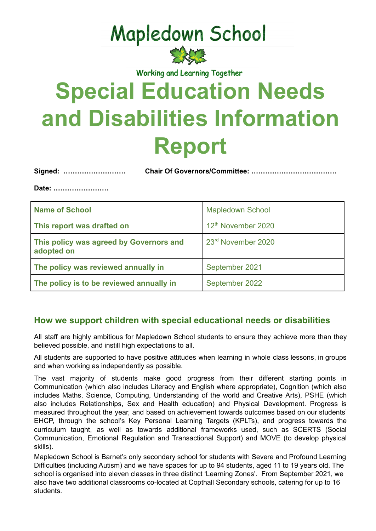## **Mapledown School**



Working and Learning Together

# **Special Education Needs and Disabilities Information Report**

**Signed: ……………………… Chair Of Governors/Committee: ……………………………….**

**Date: ……………………**

| <b>Name of School</b>                                 | <b>Mapledown School</b> |  |
|-------------------------------------------------------|-------------------------|--|
| This report was drafted on                            | 12th November 2020      |  |
| This policy was agreed by Governors and<br>adopted on | 23rd November 2020      |  |
| The policy was reviewed annually in                   | September 2021          |  |
| The policy is to be reviewed annually in              | September 2022          |  |

#### **How we support children with special educational needs or disabilities**

All staff are highly ambitious for Mapledown School students to ensure they achieve more than they believed possible, and instill high expectations to all.

All students are supported to have positive attitudes when learning in whole class lessons, in groups and when working as independently as possible.

The vast majority of students make good progress from their different starting points in Communication (which also includes Literacy and English where appropriate), Cognition (which also includes Maths, Science, Computing, Understanding of the world and Creative Arts), PSHE (which also includes Relationships, Sex and Health education) and Physical Development. Progress is measured throughout the year, and based on achievement towards outcomes based on our students' EHCP, through the school's Key Personal Learning Targets (KPLTs), and progress towards the curriculum taught, as well as towards additional frameworks used, such as SCERTS (Social Communication, Emotional Regulation and Transactional Support) and MOVE (to develop physical skills).

Mapledown School is Barnet's only secondary school for students with Severe and Profound Learning Difficulties (including Autism) and we have spaces for up to 94 students, aged 11 to 19 years old. The school is organised into eleven classes in three distinct 'Learning Zones'. From September 2021, we also have two additional classrooms co-located at Copthall Secondary schools, catering for up to 16 students.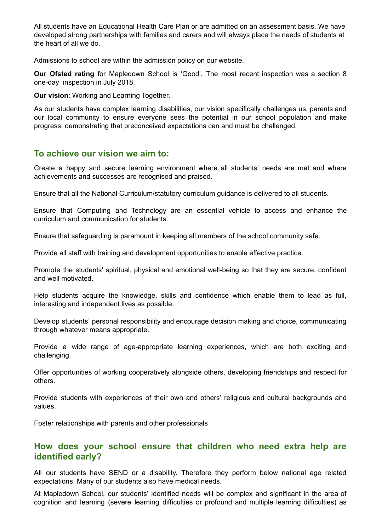All students have an Educational Health Care Plan or are admitted on an assessment basis. We have developed strong partnerships with families and carers and will always place the needs of students at the heart of all we do.

Admissions to school are within the admission policy on our website.

**Our Ofsted rating** for Mapledown School is 'Good'. The most recent inspection was a section 8 one-day inspection in July 2018.

**Our vision**: Working and Learning Together.

As our students have complex learning disabilities, our vision specifically challenges us, parents and our local community to ensure everyone sees the potential in our school population and make progress, demonstrating that preconceived expectations can and must be challenged.

#### **To achieve our vision we aim to:**

Create a happy and secure learning environment where all students' needs are met and where achievements and successes are recognised and praised.

Ensure that all the National Curriculum/statutory curriculum guidance is delivered to all students.

Ensure that Computing and Technology are an essential vehicle to access and enhance the curriculum and communication for students.

Ensure that safeguarding is paramount in keeping all members of the school community safe.

Provide all staff with training and development opportunities to enable effective practice.

Promote the students' spiritual, physical and emotional well-being so that they are secure, confident and well motivated.

Help students acquire the knowledge, skills and confidence which enable them to lead as full, interesting and independent lives as possible.

Develop students' personal responsibility and encourage decision making and choice, communicating through whatever means appropriate.

Provide a wide range of age-appropriate learning experiences, which are both exciting and challenging.

Offer opportunities of working cooperatively alongside others, developing friendships and respect for others.

Provide students with experiences of their own and others' religious and cultural backgrounds and values.

Foster relationships with parents and other professionals

#### **How does your school ensure that children who need extra help are identified early?**

All our students have SEND or a disability. Therefore they perform below national age related expectations. Many of our students also have medical needs.

At Mapledown School, our students' identified needs will be complex and significant in the area of cognition and learning (severe learning difficulties or profound and multiple learning difficulties) as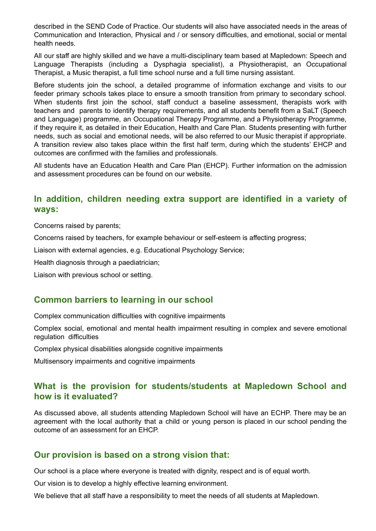described in the SEND Code of Practice. Our students will also have associated needs in the areas of Communication and Interaction, Physical and / or sensory difficulties, and emotional, social or mental health needs.

All our staff are highly skilled and we have a multi-disciplinary team based at Mapledown: Speech and Language Therapists (including a Dysphagia specialist), a Physiotherapist, an Occupational Therapist, a Music therapist, a full time school nurse and a full time nursing assistant.

Before students join the school, a detailed programme of information exchange and visits to our feeder primary schools takes place to ensure a smooth transition from primary to secondary school. When students first join the school, staff conduct a baseline assessment, therapists work with teachers and parents to identify therapy requirements, and all students benefit from a SaLT (Speech and Language) programme, an Occupational Therapy Programme, and a Physiotherapy Programme, if they require it, as detailed in their Education, Health and Care Plan. Students presenting with further needs, such as social and emotional needs, will be also referred to our Music therapist if appropriate. A transition review also takes place within the first half term, during which the students' EHCP and outcomes are confirmed with the families and professionals.

All students have an Education Health and Care Plan (EHCP). Further information on the admission and assessment procedures can be found on our website.

#### **In addition, children needing extra support are identified in a variety of ways:**

Concerns raised by parents;

Concerns raised by teachers, for example behaviour or self-esteem is affecting progress;

Liaison with external agencies, e.g. Educational Psychology Service;

Health diagnosis through a paediatrician;

Liaison with previous school or setting.

#### **Common barriers to learning in our school**

Complex communication difficulties with cognitive impairments

Complex social, emotional and mental health impairment resulting in complex and severe emotional regulation difficulties

Complex physical disabilities alongside cognitive impairments

Multisensory impairments and cognitive impairments

#### **What is the provision for students/students at Mapledown School and how is it evaluated?**

As discussed above, all students attending Mapledown School will have an ECHP. There may be an agreement with the local authority that a child or young person is placed in our school pending the outcome of an assessment for an EHCP.

#### **Our provision is based on a strong vision that:**

Our school is a place where everyone is treated with dignity, respect and is of equal worth.

Our vision is to develop a highly effective learning environment.

We believe that all staff have a responsibility to meet the needs of all students at Mapledown.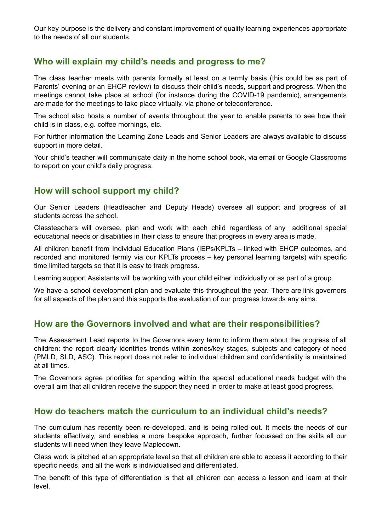Our key purpose is the delivery and constant improvement of quality learning experiences appropriate to the needs of all our students.

#### **Who will explain my child's needs and progress to me?**

The class teacher meets with parents formally at least on a termly basis (this could be as part of Parents' evening or an EHCP review) to discuss their child's needs, support and progress. When the meetings cannot take place at school (for instance during the COVID-19 pandemic), arrangements are made for the meetings to take place virtually, via phone or teleconference.

The school also hosts a number of events throughout the year to enable parents to see how their child is in class, e.g. coffee mornings, etc.

For further information the Learning Zone Leads and Senior Leaders are always available to discuss support in more detail.

Your child's teacher will communicate daily in the home school book, via email or Google Classrooms to report on your child's daily progress.

#### **How will school support my child?**

Our Senior Leaders (Headteacher and Deputy Heads) oversee all support and progress of all students across the school.

Classteachers will oversee, plan and work with each child regardless of any additional special educational needs or disabilities in their class to ensure that progress in every area is made.

All children benefit from Individual Education Plans (IEPs/KPLTs – linked with EHCP outcomes, and recorded and monitored termly via our KPLTs process – key personal learning targets) with specific time limited targets so that it is easy to track progress.

Learning support Assistants will be working with your child either individually or as part of a group.

We have a school development plan and evaluate this throughout the year. There are link governors for all aspects of the plan and this supports the evaluation of our progress towards any aims.

#### **How are the Governors involved and what are their responsibilities?**

The Assessment Lead reports to the Governors every term to inform them about the progress of all children: the report clearly identifies trends within zones/key stages, subjects and category of need (PMLD, SLD, ASC). This report does not refer to individual children and confidentiality is maintained at all times.

The Governors agree priorities for spending within the special educational needs budget with the overall aim that all children receive the support they need in order to make at least good progress.

#### **How do teachers match the curriculum to an individual child's needs?**

The curriculum has recently been re-developed, and is being rolled out. It meets the needs of our students effectively, and enables a more bespoke approach, further focussed on the skills all our students will need when they leave Mapledown.

Class work is pitched at an appropriate level so that all children are able to access it according to their specific needs, and all the work is individualised and differentiated.

The benefit of this type of differentiation is that all children can access a lesson and learn at their level.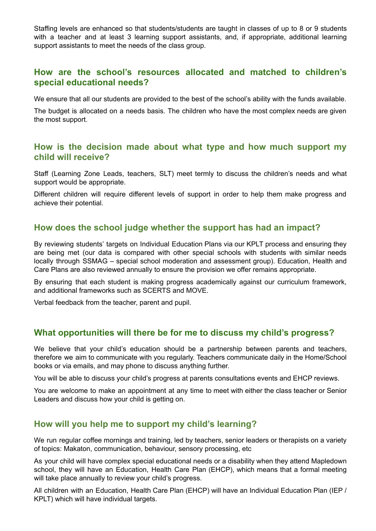Staffing levels are enhanced so that students/students are taught in classes of up to 8 or 9 students with a teacher and at least 3 learning support assistants, and, if appropriate, additional learning support assistants to meet the needs of the class group.

#### **How are the school's resources allocated and matched to children's special educational needs?**

We ensure that all our students are provided to the best of the school's ability with the funds available.

The budget is allocated on a needs basis. The children who have the most complex needs are given the most support.

#### **How is the decision made about what type and how much support my child will receive?**

Staff (Learning Zone Leads, teachers, SLT) meet termly to discuss the children's needs and what support would be appropriate.

Different children will require different levels of support in order to help them make progress and achieve their potential.

#### **How does the school judge whether the support has had an impact?**

By reviewing students' targets on Individual Education Plans via our KPLT process and ensuring they are being met (our data is compared with other special schools with students with similar needs locally through SSMAG – special school moderation and assessment group). Education, Health and Care Plans are also reviewed annually to ensure the provision we offer remains appropriate.

By ensuring that each student is making progress academically against our curriculum framework, and additional frameworks such as SCERTS and MOVE.

Verbal feedback from the teacher, parent and pupil.

#### **What opportunities will there be for me to discuss my child's progress?**

We believe that your child's education should be a partnership between parents and teachers, therefore we aim to communicate with you regularly. Teachers communicate daily in the Home/School books or via emails, and may phone to discuss anything further.

You will be able to discuss your child's progress at parents consultations events and EHCP reviews.

You are welcome to make an appointment at any time to meet with either the class teacher or Senior Leaders and discuss how your child is getting on.

#### **How will you help me to support my child's learning?**

We run regular coffee mornings and training, led by teachers, senior leaders or therapists on a variety of topics: Makaton, communication, behaviour, sensory processing, etc

As your child will have complex special educational needs or a disability when they attend Mapledown school, they will have an Education, Health Care Plan (EHCP), which means that a formal meeting will take place annually to review your child's progress.

All children with an Education, Health Care Plan (EHCP) will have an Individual Education Plan (IEP / KPLT) which will have individual targets.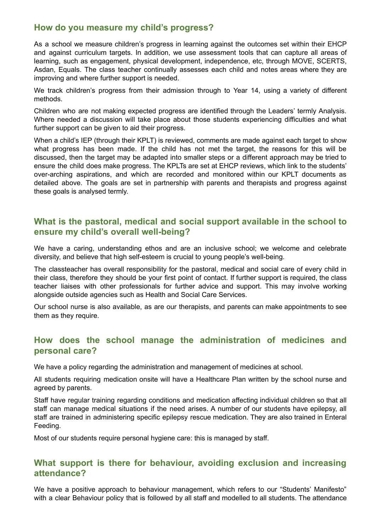#### **How do you measure my child's progress?**

As a school we measure children's progress in learning against the outcomes set within their EHCP and against curriculum targets. In addition, we use assessment tools that can capture all areas of learning, such as engagement, physical development, independence, etc, through MOVE, SCERTS, Asdan, Equals. The class teacher continually assesses each child and notes areas where they are improving and where further support is needed.

We track children's progress from their admission through to Year 14, using a variety of different methods.

Children who are not making expected progress are identified through the Leaders' termly Analysis. Where needed a discussion will take place about those students experiencing difficulties and what further support can be given to aid their progress.

When a child's IEP (through their KPLT) is reviewed, comments are made against each target to show what progress has been made. If the child has not met the target, the reasons for this will be discussed, then the target may be adapted into smaller steps or a different approach may be tried to ensure the child does make progress. The KPLTs are set at EHCP reviews, which link to the students' over-arching aspirations, and which are recorded and monitored within our KPLT documents as detailed above. The goals are set in partnership with parents and therapists and progress against these goals is analysed termly.

#### **What is the pastoral, medical and social support available in the school to ensure my child's overall well-being?**

We have a caring, understanding ethos and are an inclusive school; we welcome and celebrate diversity, and believe that high self-esteem is crucial to young people's well-being.

The classteacher has overall responsibility for the pastoral, medical and social care of every child in their class, therefore they should be your first point of contact. If further support is required, the class teacher liaises with other professionals for further advice and support. This may involve working alongside outside agencies such as Health and Social Care Services.

Our school nurse is also available, as are our therapists, and parents can make appointments to see them as they require.

#### **How does the school manage the administration of medicines and personal care?**

We have a policy regarding the administration and management of medicines at school.

All students requiring medication onsite will have a Healthcare Plan written by the school nurse and agreed by parents.

Staff have regular training regarding conditions and medication affecting individual children so that all staff can manage medical situations if the need arises. A number of our students have epilepsy, all staff are trained in administering specific epilepsy rescue medication. They are also trained in Enteral Feeding.

Most of our students require personal hygiene care: this is managed by staff.

#### **What support is there for behaviour, avoiding exclusion and increasing attendance?**

We have a positive approach to behaviour management, which refers to our "Students' Manifesto" with a clear Behaviour policy that is followed by all staff and modelled to all students. The attendance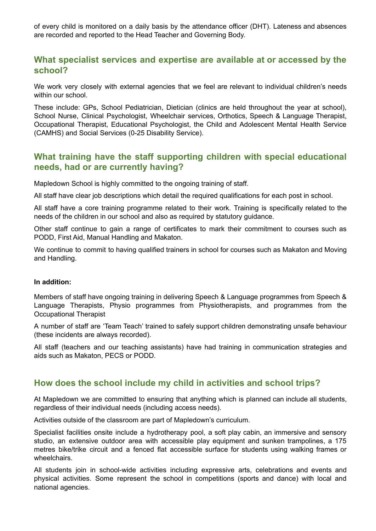of every child is monitored on a daily basis by the attendance officer (DHT). Lateness and absences are recorded and reported to the Head Teacher and Governing Body.

#### **What specialist services and expertise are available at or accessed by the school?**

We work very closely with external agencies that we feel are relevant to individual children's needs within our school.

These include: GPs, School Pediatrician, Dietician (clinics are held throughout the year at school), School Nurse, Clinical Psychologist, Wheelchair services, Orthotics, Speech & Language Therapist, Occupational Therapist, Educational Psychologist, the Child and Adolescent Mental Health Service (CAMHS) and Social Services (0-25 Disability Service).

#### **What training have the staff supporting children with special educational needs, had or are currently having?**

Mapledown School is highly committed to the ongoing training of staff.

All staff have clear job descriptions which detail the required qualifications for each post in school.

All staff have a core training programme related to their work. Training is specifically related to the needs of the children in our school and also as required by statutory guidance.

Other staff continue to gain a range of certificates to mark their commitment to courses such as PODD, First Aid, Manual Handling and Makaton.

We continue to commit to having qualified trainers in school for courses such as Makaton and Moving and Handling.

#### **In addition:**

Members of staff have ongoing training in delivering Speech & Language programmes from Speech & Language Therapists, Physio programmes from Physiotherapists, and programmes from the Occupational Therapist

A number of staff are 'Team Teach' trained to safely support children demonstrating unsafe behaviour (these incidents are always recorded).

All staff (teachers and our teaching assistants) have had training in communication strategies and aids such as Makaton, PECS or PODD.

#### **How does the school include my child in activities and school trips?**

At Mapledown we are committed to ensuring that anything which is planned can include all students, regardless of their individual needs (including access needs).

Activities outside of the classroom are part of Mapledown's curriculum.

Specialist facilities onsite include a hydrotherapy pool, a soft play cabin, an immersive and sensory studio, an extensive outdoor area with accessible play equipment and sunken trampolines, a 175 metres bike/trike circuit and a fenced flat accessible surface for students using walking frames or wheelchairs.

All students join in school-wide activities including expressive arts, celebrations and events and physical activities. Some represent the school in competitions (sports and dance) with local and national agencies.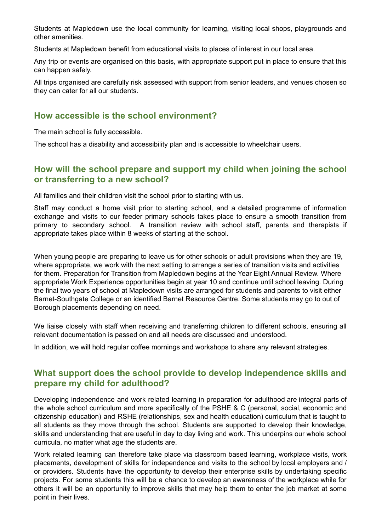Students at Mapledown use the local community for learning, visiting local shops, playgrounds and other amenities.

Students at Mapledown benefit from educational visits to places of interest in our local area.

Any trip or events are organised on this basis, with appropriate support put in place to ensure that this can happen safely.

All trips organised are carefully risk assessed with support from senior leaders, and venues chosen so they can cater for all our students.

#### **How accessible is the school environment?**

The main school is fully accessible.

The school has a disability and accessibility plan and is accessible to wheelchair users.

#### **How will the school prepare and support my child when joining the school or transferring to a new school?**

All families and their children visit the school prior to starting with us.

Staff may conduct a home visit prior to starting school, and a detailed programme of information exchange and visits to our feeder primary schools takes place to ensure a smooth transition from primary to secondary school. A transition review with school staff, parents and therapists if appropriate takes place within 8 weeks of starting at the school.

When young people are preparing to leave us for other schools or adult provisions when they are 19. where appropriate, we work with the next setting to arrange a series of transition visits and activities for them. Preparation for Transition from Mapledown begins at the Year Eight Annual Review. Where appropriate Work Experience opportunities begin at year 10 and continue until school leaving. During the final two years of school at Mapledown visits are arranged for students and parents to visit either Barnet-Southgate College or an identified Barnet Resource Centre. Some students may go to out of Borough placements depending on need.

We liaise closely with staff when receiving and transferring children to different schools, ensuring all relevant documentation is passed on and all needs are discussed and understood.

In addition, we will hold regular coffee mornings and workshops to share any relevant strategies.

#### **What support does the school provide to develop independence skills and prepare my child for adulthood?**

Developing independence and work related learning in preparation for adulthood are integral parts of the whole school curriculum and more specifically of the PSHE & C (personal, social, economic and citizenship education) and RSHE (relationships, sex and health education) curriculum that is taught to all students as they move through the school. Students are supported to develop their knowledge, skills and understanding that are useful in day to day living and work. This underpins our whole school curricula, no matter what age the students are.

Work related learning can therefore take place via classroom based learning, workplace visits, work placements, development of skills for independence and visits to the school by local employers and / or providers. Students have the opportunity to develop their enterprise skills by undertaking specific projects. For some students this will be a chance to develop an awareness of the workplace while for others it will be an opportunity to improve skills that may help them to enter the job market at some point in their lives.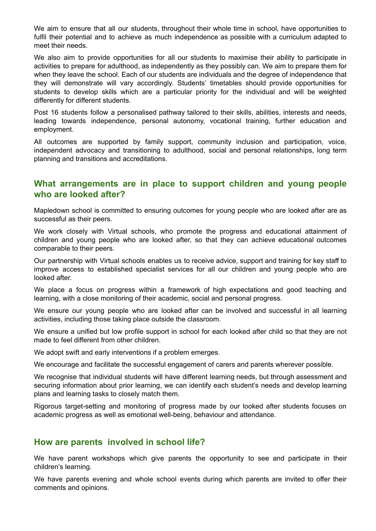We aim to ensure that all our students, throughout their whole time in school, have opportunities to fulfil their potential and to achieve as much independence as possible with a curriculum adapted to meet their needs.

We also aim to provide opportunities for all our students to maximise their ability to participate in activities to prepare for adulthood, as independently as they possibly can. We aim to prepare them for when they leave the school. Each of our students are individuals and the degree of independence that they will demonstrate will vary accordingly. Students' timetables should provide opportunities for students to develop skills which are a particular priority for the individual and will be weighted differently for different students.

Post 16 students follow a personalised pathway tailored to their skills, abilities, interests and needs, leading towards independence, personal autonomy, vocational training, further education and employment.

All outcomes are supported by family support, community inclusion and participation, voice, independent advocacy and transitioning to adulthood, social and personal relationships, long term planning and transitions and accreditations.

#### **What arrangements are in place to support children and young people who are looked after?**

Mapledown school is committed to ensuring outcomes for young people who are looked after are as successful as their peers.

We work closely with Virtual schools, who promote the progress and educational attainment of children and young people who are looked after, so that they can achieve educational outcomes comparable to their peers.

Our partnership with Virtual schools enables us to receive advice, support and training for key staff to improve access to established specialist services for all our children and young people who are looked after.

We place a focus on progress within a framework of high expectations and good teaching and learning, with a close monitoring of their academic, social and personal progress.

We ensure our young people who are looked after can be involved and successful in all learning activities, including those taking place outside the classroom.

We ensure a unified but low profile support in school for each looked after child so that they are not made to feel different from other children.

We adopt swift and early interventions if a problem emerges.

We encourage and facilitate the successful engagement of carers and parents wherever possible.

We recognise that individual students will have different learning needs, but through assessment and securing information about prior learning, we can identify each student's needs and develop learning plans and learning tasks to closely match them.

Rigorous target-setting and monitoring of progress made by our looked after students focuses on academic progress as well as emotional well-being, behaviour and attendance.

#### **How are parents involved in school life?**

We have parent workshops which give parents the opportunity to see and participate in their children's learning.

We have parents evening and whole school events during which parents are invited to offer their comments and opinions.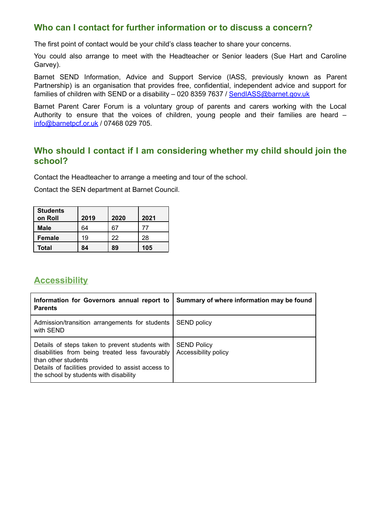#### **Who can I contact for further information or to discuss a concern?**

The first point of contact would be your child's class teacher to share your concerns.

You could also arrange to meet with the Headteacher or Senior leaders (Sue Hart and Caroline Garvey).

Barnet SEND Information, Advice and Support Service (IASS, previously known as Parent Partnership) is an organisation that provides free, confidential, independent advice and support for families of children with SEND or a disability – 020 8359 7637 / [SendIASS@barnet.gov.uk](mailto:SendIASS@barnet.gov.uk)

Barnet Parent Carer Forum is a voluntary group of parents and carers working with the Local Authority to ensure that the voices of children, young people and their families are heard – [info@barnetpcf.or.uk](mailto:info@barnetpcf.or.uk) / 07468 029 705.

#### **Who should I contact if I am considering whether my child should join the school?**

Contact the Headteacher to arrange a meeting and tour of the school.

Contact the SEN department at Barnet Council.

| <b>Students</b><br>on Roll | 2019 | 2020 | 2021 |
|----------------------------|------|------|------|
| <b>Male</b>                | 64   |      | 77   |
| <b>Female</b>              | 19   | 22   | 28   |
| Total                      | 84   | 89   | 105  |

#### **Accessibility**

| Information for Governors annual report to<br><b>Parents</b>                                                                                                                                                              | Summary of where information may be found  |
|---------------------------------------------------------------------------------------------------------------------------------------------------------------------------------------------------------------------------|--------------------------------------------|
| Admission/transition arrangements for students<br>with SEND                                                                                                                                                               | <b>SEND policy</b>                         |
| Details of steps taken to prevent students with<br>disabilities from being treated less favourably<br>than other students<br>Details of facilities provided to assist access to<br>the school by students with disability | <b>SEND Policy</b><br>Accessibility policy |